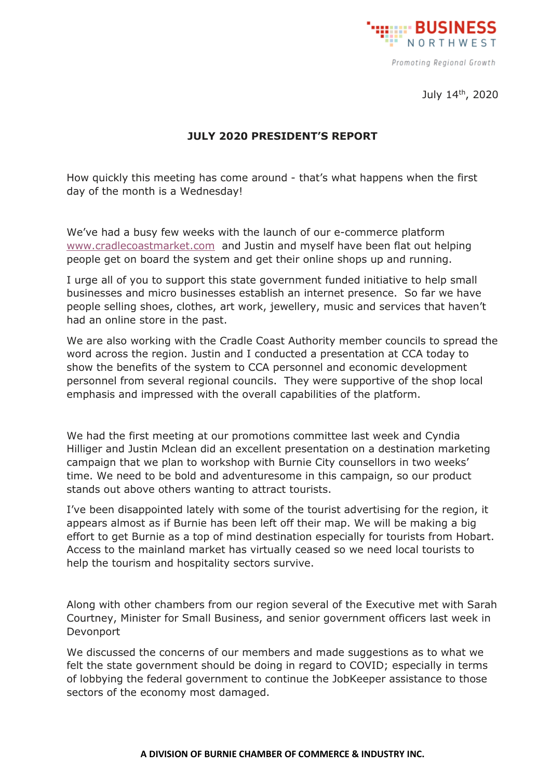

Promoting Regional Growth

July 14<sup>th</sup>, 2020

## **JULY 2020 PRESIDENT'S REPORT**

How quickly this meeting has come around - that's what happens when the first day of the month is a Wednesday!

We've had a busy few weeks with the launch of our e-commerce platform [www.cradlecoastmarket.com](http://www.cradlecoastmarket.com/) and Justin and myself have been flat out helping people get on board the system and get their online shops up and running.

I urge all of you to support this state government funded initiative to help small businesses and micro businesses establish an internet presence. So far we have people selling shoes, clothes, art work, jewellery, music and services that haven't had an online store in the past.

We are also working with the Cradle Coast Authority member councils to spread the word across the region. Justin and I conducted a presentation at CCA today to show the benefits of the system to CCA personnel and economic development personnel from several regional councils. They were supportive of the shop local emphasis and impressed with the overall capabilities of the platform.

We had the first meeting at our promotions committee last week and Cyndia Hilliger and Justin Mclean did an excellent presentation on a destination marketing campaign that we plan to workshop with Burnie City counsellors in two weeks' time. We need to be bold and adventuresome in this campaign, so our product stands out above others wanting to attract tourists.

I've been disappointed lately with some of the tourist advertising for the region, it appears almost as if Burnie has been left off their map. We will be making a big effort to get Burnie as a top of mind destination especially for tourists from Hobart. Access to the mainland market has virtually ceased so we need local tourists to help the tourism and hospitality sectors survive.

Along with other chambers from our region several of the Executive met with Sarah Courtney, Minister for Small Business, and senior government officers last week in Devonport

We discussed the concerns of our members and made suggestions as to what we felt the state government should be doing in regard to COVID; especially in terms of lobbying the federal government to continue the JobKeeper assistance to those sectors of the economy most damaged.